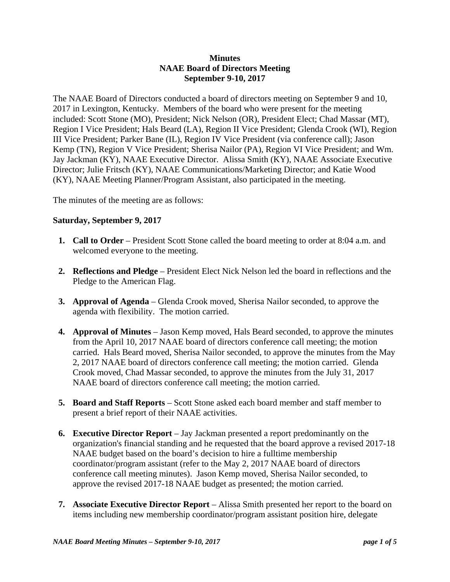## **Minutes NAAE Board of Directors Meeting September 9-10, 2017**

The NAAE Board of Directors conducted a board of directors meeting on September 9 and 10, 2017 in Lexington, Kentucky. Members of the board who were present for the meeting included: Scott Stone (MO), President; Nick Nelson (OR), President Elect; Chad Massar (MT), Region I Vice President; Hals Beard (LA), Region II Vice President; Glenda Crook (WI), Region III Vice President; Parker Bane (IL), Region IV Vice President (via conference call); Jason Kemp (TN), Region V Vice President; Sherisa Nailor (PA), Region VI Vice President; and Wm. Jay Jackman (KY), NAAE Executive Director. Alissa Smith (KY), NAAE Associate Executive Director; Julie Fritsch (KY), NAAE Communications/Marketing Director; and Katie Wood (KY), NAAE Meeting Planner/Program Assistant, also participated in the meeting.

The minutes of the meeting are as follows:

### **Saturday, September 9, 2017**

- **1. Call to Order** President Scott Stone called the board meeting to order at 8:04 a.m. and welcomed everyone to the meeting.
- **2. Reflections and Pledge** President Elect Nick Nelson led the board in reflections and the Pledge to the American Flag.
- **3. Approval of Agenda** Glenda Crook moved, Sherisa Nailor seconded, to approve the agenda with flexibility. The motion carried.
- **4. Approval of Minutes**  Jason Kemp moved, Hals Beard seconded, to approve the minutes from the April 10, 2017 NAAE board of directors conference call meeting; the motion carried. Hals Beard moved, Sherisa Nailor seconded, to approve the minutes from the May 2, 2017 NAAE board of directors conference call meeting; the motion carried. Glenda Crook moved, Chad Massar seconded, to approve the minutes from the July 31, 2017 NAAE board of directors conference call meeting; the motion carried.
- **5. Board and Staff Reports**  Scott Stone asked each board member and staff member to present a brief report of their NAAE activities.
- **6. Executive Director Report** Jay Jackman presented a report predominantly on the organization's financial standing and he requested that the board approve a revised 2017-18 NAAE budget based on the board's decision to hire a fulltime membership coordinator/program assistant (refer to the May 2, 2017 NAAE board of directors conference call meeting minutes). Jason Kemp moved, Sherisa Nailor seconded, to approve the revised 2017-18 NAAE budget as presented; the motion carried.
- **7. Associate Executive Director Report** Alissa Smith presented her report to the board on items including new membership coordinator/program assistant position hire, delegate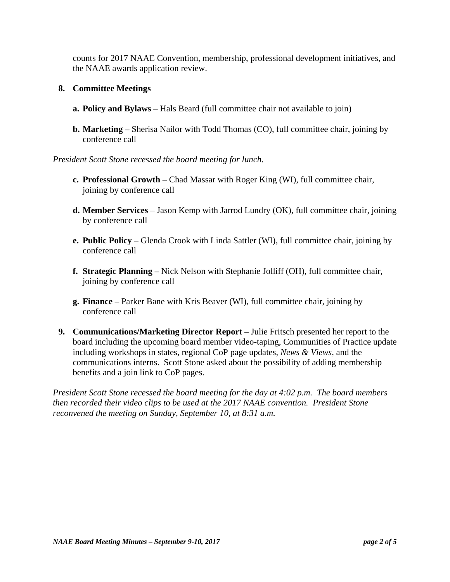counts for 2017 NAAE Convention, membership, professional development initiatives, and the NAAE awards application review.

# **8. Committee Meetings**

- **a. Policy and Bylaws** Hals Beard (full committee chair not available to join)
- **b. Marketing** Sherisa Nailor with Todd Thomas (CO), full committee chair, joining by conference call

### *President Scott Stone recessed the board meeting for lunch.*

- **c. Professional Growth** Chad Massar with Roger King (WI), full committee chair, joining by conference call
- **d. Member Services** Jason Kemp with Jarrod Lundry (OK), full committee chair, joining by conference call
- **e. Public Policy** Glenda Crook with Linda Sattler (WI), full committee chair, joining by conference call
- **f. Strategic Planning** Nick Nelson with Stephanie Jolliff (OH), full committee chair, joining by conference call
- **g. Finance** Parker Bane with Kris Beaver (WI), full committee chair, joining by conference call
- **9. Communications/Marketing Director Report** Julie Fritsch presented her report to the board including the upcoming board member video-taping, Communities of Practice update including workshops in states, regional CoP page updates, *News & Views*, and the communications interns. Scott Stone asked about the possibility of adding membership benefits and a join link to CoP pages.

*President Scott Stone recessed the board meeting for the day at 4:02 p.m. The board members then recorded their video clips to be used at the 2017 NAAE convention. President Stone reconvened the meeting on Sunday, September 10, at 8:31 a.m.*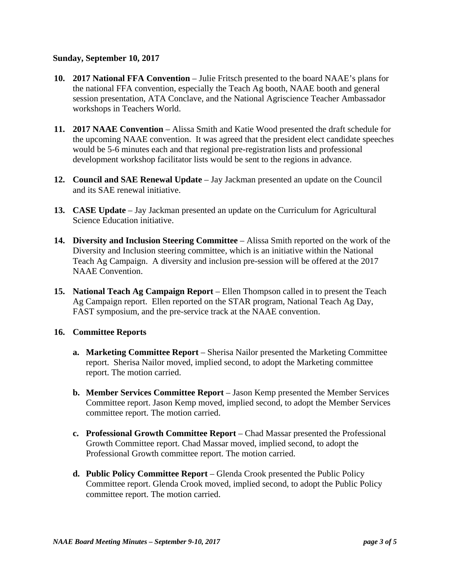### **Sunday, September 10, 2017**

- **10. 2017 National FFA Convention**  Julie Fritsch presented to the board NAAE's plans for the national FFA convention, especially the Teach Ag booth, NAAE booth and general session presentation, ATA Conclave, and the National Agriscience Teacher Ambassador workshops in Teachers World.
- **11. 2017 NAAE Convention**  Alissa Smith and Katie Wood presented the draft schedule for the upcoming NAAE convention. It was agreed that the president elect candidate speeches would be 5-6 minutes each and that regional pre-registration lists and professional development workshop facilitator lists would be sent to the regions in advance.
- **12. Council and SAE Renewal Update**  Jay Jackman presented an update on the Council and its SAE renewal initiative.
- **13. CASE Update** Jay Jackman presented an update on the Curriculum for Agricultural Science Education initiative.
- **14. Diversity and Inclusion Steering Committee**  Alissa Smith reported on the work of the Diversity and Inclusion steering committee, which is an initiative within the National Teach Ag Campaign. A diversity and inclusion pre-session will be offered at the 2017 NAAE Convention.
- **15. National Teach Ag Campaign Report** Ellen Thompson called in to present the Teach Ag Campaign report. Ellen reported on the STAR program, National Teach Ag Day, FAST symposium, and the pre-service track at the NAAE convention.

### **16. Committee Reports**

- **a. Marketing Committee Report** Sherisa Nailor presented the Marketing Committee report. Sherisa Nailor moved, implied second, to adopt the Marketing committee report. The motion carried.
- **b. Member Services Committee Report** Jason Kemp presented the Member Services Committee report. Jason Kemp moved, implied second, to adopt the Member Services committee report. The motion carried.
- **c. Professional Growth Committee Report**  Chad Massar presented the Professional Growth Committee report. Chad Massar moved, implied second, to adopt the Professional Growth committee report. The motion carried.
- **d. Public Policy Committee Report**  Glenda Crook presented the Public Policy Committee report. Glenda Crook moved, implied second, to adopt the Public Policy committee report. The motion carried.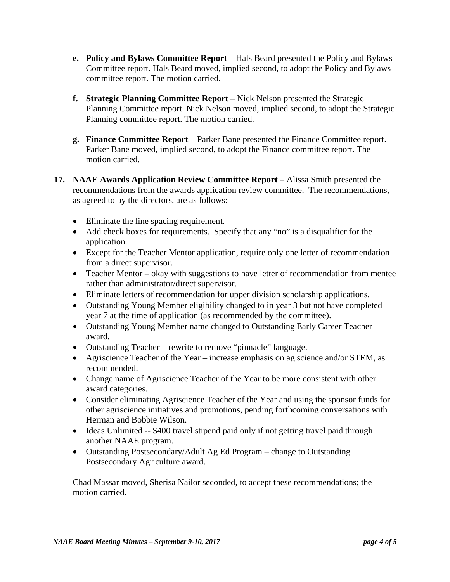- **e. Policy and Bylaws Committee Report**  Hals Beard presented the Policy and Bylaws Committee report. Hals Beard moved, implied second, to adopt the Policy and Bylaws committee report. The motion carried.
- **f. Strategic Planning Committee Report**  Nick Nelson presented the Strategic Planning Committee report. Nick Nelson moved, implied second, to adopt the Strategic Planning committee report. The motion carried.
- **g. Finance Committee Report**  Parker Bane presented the Finance Committee report. Parker Bane moved, implied second, to adopt the Finance committee report. The motion carried.
- **17. NAAE Awards Application Review Committee Report** Alissa Smith presented the recommendations from the awards application review committee. The recommendations, as agreed to by the directors, are as follows:
	- Eliminate the line spacing requirement.
	- Add check boxes for requirements. Specify that any "no" is a disqualifier for the application.
	- Except for the Teacher Mentor application, require only one letter of recommendation from a direct supervisor.
	- Teacher Mentor okay with suggestions to have letter of recommendation from mentee rather than administrator/direct supervisor.
	- Eliminate letters of recommendation for upper division scholarship applications.
	- Outstanding Young Member eligibility changed to in year 3 but not have completed year 7 at the time of application (as recommended by the committee).
	- Outstanding Young Member name changed to Outstanding Early Career Teacher award.
	- Outstanding Teacher rewrite to remove "pinnacle" language.
	- Agriscience Teacher of the Year increase emphasis on ag science and/or STEM, as recommended.
	- Change name of Agriscience Teacher of the Year to be more consistent with other award categories.
	- Consider eliminating Agriscience Teacher of the Year and using the sponsor funds for other agriscience initiatives and promotions, pending forthcoming conversations with Herman and Bobbie Wilson.
	- Ideas Unlimited -- \$400 travel stipend paid only if not getting travel paid through another NAAE program.
	- Outstanding Postsecondary/Adult Ag Ed Program change to Outstanding Postsecondary Agriculture award.

Chad Massar moved, Sherisa Nailor seconded, to accept these recommendations; the motion carried.